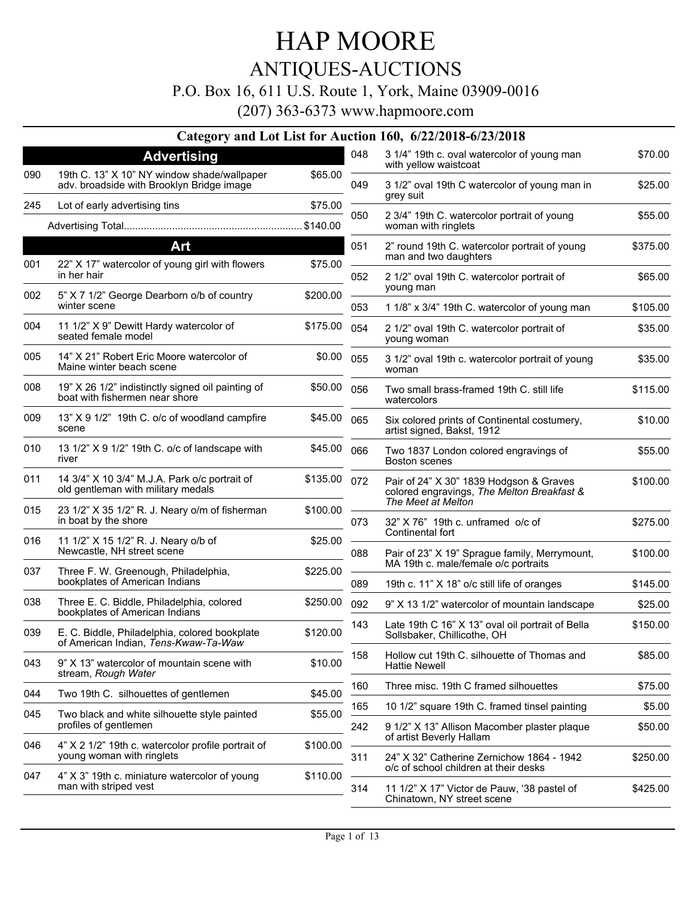### ANTIQUES-AUCTIONS

#### P.O. Box 16, 611 U.S. Route 1, York, Maine 03909-0016

(207) 363-6373 www.hapmoore.com

#### **Category and Lot List for Auction 160, 6/22/2018-6/23/2018**

|     | <b>Advertising</b>                                                                       |          | 048 | 3 1/4" 19th c. oval watercolor of young man<br>with yellow waistcoat                  | \$70.00  |
|-----|------------------------------------------------------------------------------------------|----------|-----|---------------------------------------------------------------------------------------|----------|
| 090 | 19th C. 13" X 10" NY window shade/wallpaper<br>adv. broadside with Brooklyn Bridge image | \$65.00  | 049 | 3 1/2" oval 19th C watercolor of young man in<br>grey suit                            | \$25.00  |
| 245 | Lot of early advertising tins                                                            | \$75.00  | 050 | 2 3/4" 19th C. watercolor portrait of young                                           | \$55.00  |
|     |                                                                                          | \$140.00 |     | woman with ringlets                                                                   |          |
|     | Art                                                                                      |          | 051 | 2" round 19th C. watercolor portrait of young<br>man and two daughters                | \$375.00 |
| 001 | 22" X 17" watercolor of young girl with flowers<br>in her hair                           | \$75.00  | 052 | 2 1/2" oval 19th C. watercolor portrait of                                            | \$65.00  |
| 002 | 5" X 7 1/2" George Dearborn o/b of country<br>winter scene                               | \$200.00 | 053 | young man<br>1 1/8" x 3/4" 19th C. watercolor of young man                            | \$105.00 |
| 004 | 11 1/2" X 9" Dewitt Hardy watercolor of<br>seated female model                           | \$175.00 | 054 | 2 1/2" oval 19th C. watercolor portrait of<br>young woman                             | \$35.00  |
| 005 | 14" X 21" Robert Eric Moore watercolor of<br>Maine winter beach scene                    | \$0.00   | 055 | 3 1/2" oval 19th c. watercolor portrait of young<br>woman                             | \$35.00  |
| 008 | 19" X 26 1/2" indistinctly signed oil painting of<br>boat with fishermen near shore      | \$50.00  | 056 | Two small brass-framed 19th C. still life<br>watercolors                              | \$115.00 |
| 009 | 13" X 9 1/2" 19th C. o/c of woodland campfire<br>scene                                   | \$45.00  | 065 | Six colored prints of Continental costumery,<br>artist signed, Bakst, 1912            | \$10.00  |
| 010 | 13 1/2" X 9 1/2" 19th C. o/c of landscape with<br>river                                  | \$45.00  | 066 | Two 1837 London colored engravings of<br><b>Boston scenes</b>                         | \$55.00  |
| 011 | 14 3/4" X 10 3/4" M.J.A. Park o/c portrait of<br>old gentleman with military medals      | \$135.00 | 072 | Pair of 24" X 30" 1839 Hodgson & Graves<br>colored engravings, The Melton Breakfast & | \$100.00 |
| 015 | 23 1/2" X 35 1/2" R. J. Neary o/m of fisherman<br>in boat by the shore                   | \$100.00 | 073 | The Meet at Melton<br>32" X 76" 19th c. unframed o/c of                               | \$275.00 |
| 016 | 11 1/2" X 15 1/2" R. J. Neary o/b of<br>Newcastle, NH street scene                       | \$25.00  | 088 | Continental fort<br>Pair of 23" X 19" Sprague family, Merrymount,                     | \$100.00 |
| 037 | Three F. W. Greenough, Philadelphia,<br>bookplates of American Indians                   | \$225.00 |     | MA 19th c. male/female o/c portraits                                                  |          |
| 038 | Three E. C. Biddle, Philadelphia, colored                                                |          | 089 | 19th c. 11" X 18" o/c still life of oranges                                           | \$145.00 |
|     | bookplates of American Indians                                                           | \$250.00 | 092 | 9" X 13 1/2" watercolor of mountain landscape                                         | \$25.00  |
| 039 | E. C. Biddle, Philadelphia, colored bookplate<br>of American Indian, Tens-Kwaw-Ta-Waw    | \$120.00 | 143 | Late 19th C 16" X 13" oval oil portrait of Bella<br>Sollsbaker, Chillicothe, OH       | \$150.00 |
| 043 | 9" X 13" watercolor of mountain scene with<br>stream, Rough Water                        | \$10.00  | 158 | Hollow cut 19th C. silhouette of Thomas and<br><b>Hattie Newell</b>                   | \$85.00  |
| 044 | Two 19th C. silhouettes of gentlemen                                                     | \$45.00  | 160 | Three misc. 19th C framed silhouettes                                                 | \$75.00  |
| 045 | Two black and white silhouette style painted                                             | \$55.00  | 165 | 10 1/2" square 19th C. framed tinsel painting                                         | \$5.00   |
|     | profiles of gentlemen                                                                    |          | 242 | 9 1/2" X 13" Allison Macomber plaster plaque<br>of artist Beverly Hallam              | \$50.00  |
| 046 | 4" X 2 1/2" 19th c. watercolor profile portrait of<br>young woman with ringlets          | \$100.00 | 311 | 24" X 32" Catherine Zernichow 1864 - 1942<br>o/c of school children at their desks    | \$250.00 |
| 047 | 4" X 3" 19th c. miniature watercolor of young<br>man with striped vest                   | \$110.00 | 314 | 11 1/2" X 17" Victor de Pauw, '38 pastel of<br>Chinatown, NY street scene             | \$425.00 |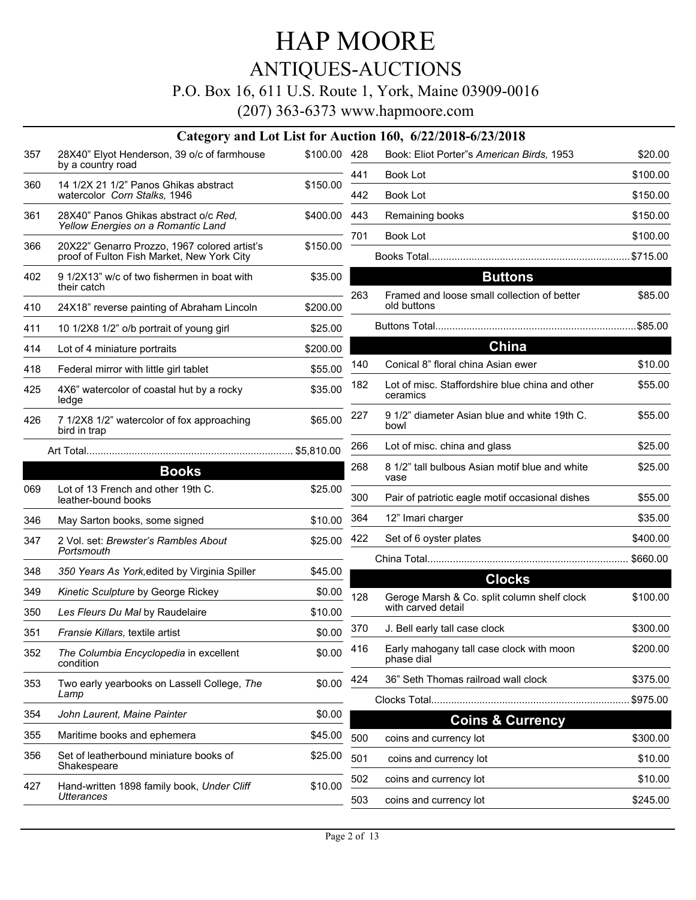### ANTIQUES-AUCTIONS

#### P.O. Box 16, 611 U.S. Route 1, York, Maine 03909-0016

|     |                                                                             |              |            | Category and Lot List for Auction 160, 6/22/2018-6/23/2018 |
|-----|-----------------------------------------------------------------------------|--------------|------------|------------------------------------------------------------|
| 357 | 28X40" Elyot Henderson, 39 o/c of farmhouse<br>by a country road            | \$100.00 428 |            | Book: Eliot Porter"s American L                            |
| 360 | 14 1/2X 21 1/2" Panos Ghikas abstract<br>watercolor Corn Stalks, 1946       | \$150.00     | 441<br>442 | Book Lot<br>Book Lot                                       |
| 361 | 28X40" Panos Ghikas abstract o/c Red,<br>Yellow Energies on a Romantic Land | \$400.00 443 |            | Remaining books                                            |
| 366 | 20X22" Genarro Prozzo, 1967 colored artist's                                | \$150.00     | 701        | Book Lot                                                   |
|     | proof of Fulton Fish Market, New York City                                  |              |            |                                                            |
| 402 | 9 1/2X13" w/c of two fishermen in boat with<br>their catch                  | \$35.00      | 263        | <b>Button</b><br>Framed and loose small collect            |
| 410 | 24X18" reverse painting of Abraham Lincoln                                  | \$200.00     |            | old buttons                                                |
| 411 | 10 1/2X8 1/2" o/b portrait of young girl                                    | \$25.00      |            |                                                            |
| 414 | Lot of 4 miniature portraits                                                | \$200.00     |            | China                                                      |
| 418 | Federal mirror with little girl tablet                                      | \$55.00      | 140        | Conical 8" floral china Asian ew                           |
| 425 | 4X6" watercolor of coastal hut by a rocky<br>ledge                          | \$35.00      | 182        | Lot of misc. Staffordshire blue<br>ceramics                |
| 426 | 7 1/2X8 1/2" watercolor of fox approaching<br>bird in trap                  | \$65.00      | 227        | 9 1/2" diameter Asian blue and<br>bowl                     |
|     |                                                                             |              | 266        | Lot of misc. china and glass                               |
|     | <b>Books</b>                                                                |              | 268        | 8 1/2" tall bulbous Asian motif b                          |
| 069 | Lot of 13 French and other 19th C.<br>leather-bound books                   | \$25.00      | 300        | vase<br>Pair of patriotic eagle motif occ                  |
| 346 | May Sarton books, some signed                                               | \$10.00      | 364        | 12" Imari charger                                          |
| 347 | 2 Vol. set: Brewster's Rambles About<br>Portsmouth                          | \$25.00      | 422        | Set of 6 oyster plates                                     |
| 348 | 350 Years As York, edited by Virginia Spiller                               | \$45.00      |            |                                                            |
| 349 | Kinetic Sculpture by George Rickey                                          | \$0.00       |            | <b>Clocks</b>                                              |
| 350 | Les Fleurs Du Mal by Raudelaire                                             | \$10.00      | 128        | Geroge Marsh & Co. split colur<br>with carved detail       |
| 351 | Fransie Killars, textile artist                                             | \$0.00       | 370        | J. Bell early tall case clock                              |
| 352 | The Columbia Encyclopedia in excellent<br>condition                         | \$0.00       | 416        | Early mahogany tall case clock<br>phase dial               |
| 353 | Two early yearbooks on Lassell College, The<br>Lamp                         | \$0.00       | 424        | 36" Seth Thomas railroad wall                              |
| 354 | John Laurent, Maine Painter                                                 | \$0.00       |            | Clocks Total                                               |
| 355 | Maritime books and ephemera                                                 | \$45.00      |            | Coins & Cu                                                 |
|     | Set of leatherbound miniature books of                                      |              | 500        | coins and currency lot                                     |
| 356 | Shakespeare                                                                 | \$25.00      | 501        | coins and currency lot                                     |
| 427 | Hand-written 1898 family book, Under Cliff                                  | \$10.00      | 502        | coins and currency lot                                     |
|     | <b>Utterances</b>                                                           |              | 503        | coins and currency lot                                     |

|     | tion 160, 6/22/2018-6/23/2018:                                    |             |
|-----|-------------------------------------------------------------------|-------------|
| 428 | Book: Eliot Porter"s American Birds, 1953                         | \$20.00     |
| 441 | <b>Book Lot</b>                                                   | \$100.00    |
| 442 | <b>Book Lot</b>                                                   | \$150.00    |
| 443 | Remaining books                                                   | \$150.00    |
| 701 | Book Lot                                                          | \$100.00    |
|     |                                                                   |             |
|     | <b>Buttons</b>                                                    |             |
| 263 | Framed and loose small collection of better<br>old buttons        | \$85.00     |
|     | Buttons Total                                                     |             |
|     | <b>China</b>                                                      |             |
| 140 | Conical 8" floral china Asian ewer                                | \$10.00     |
| 182 | Lot of misc. Staffordshire blue china and other<br>ceramics       | \$55.00     |
| 227 | 9 1/2" diameter Asian blue and white 19th C.<br>bowl              | \$55.00     |
| 266 | Lot of misc. china and glass                                      | \$25.00     |
| 268 | 8 1/2" tall bulbous Asian motif blue and white<br>vase            | \$25.00     |
| 300 | Pair of patriotic eagle motif occasional dishes                   | \$55.00     |
| 364 | 12" Imari charger                                                 | \$35.00     |
| 422 | Set of 6 oyster plates                                            | \$400.00    |
|     |                                                                   |             |
|     | <b>Clocks</b>                                                     |             |
| 128 | Geroge Marsh & Co. split column shelf clock<br>with carved detail | \$100.00    |
| 370 | J. Bell early tall case clock                                     | \$300.00    |
| 416 | Early mahogany tall case clock with moon<br>phase dial            | \$200.00    |
| 424 | 36" Seth Thomas railroad wall clock                               | \$375.00    |
|     | Clocks Total                                                      | …… \$975.00 |
|     | <b>Coins &amp; Currency</b>                                       |             |
| 500 | coins and currency lot                                            | \$300.00    |
| 501 | coins and currency lot                                            | \$10.00     |
| 502 | coins and currency lot                                            | \$10.00     |
| 503 | coins and currency lot                                            | \$245.00    |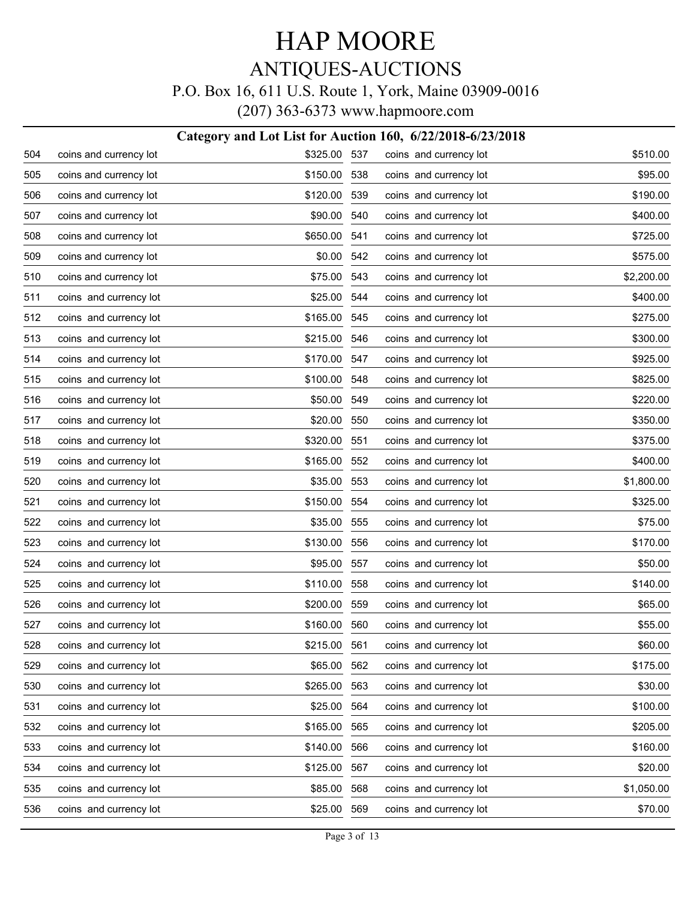# HAP MOORE ANTIQUES-AUCTIONS

#### P.O. Box 16, 611 U.S. Route 1, York, Maine 03909-0016

|     |                        | Category and Lot List for Auction 160, 6/22/2018-6/23/2018 |      |                        |            |
|-----|------------------------|------------------------------------------------------------|------|------------------------|------------|
| 504 | coins and currency lot | \$325.00 537                                               |      | coins and currency lot | \$510.00   |
| 505 | coins and currency lot | \$150.00 538                                               |      | coins and currency lot | \$95.00    |
| 506 | coins and currency lot | \$120.00 539                                               |      | coins and currency lot | \$190.00   |
| 507 | coins and currency lot | \$90.00                                                    | 540  | coins and currency lot | \$400.00   |
| 508 | coins and currency lot | \$650.00 541                                               |      | coins and currency lot | \$725.00   |
| 509 | coins and currency lot | \$0.00                                                     | 542  | coins and currency lot | \$575.00   |
| 510 | coins and currency lot | \$75.00 543                                                |      | coins and currency lot | \$2,200.00 |
| 511 | coins and currency lot | \$25.00                                                    | 544  | coins and currency lot | \$400.00   |
| 512 | coins and currency lot | \$165.00 545                                               |      | coins and currency lot | \$275.00   |
| 513 | coins and currency lot | \$215.00                                                   | 546  | coins and currency lot | \$300.00   |
| 514 | coins and currency lot | \$170.00 547                                               |      | coins and currency lot | \$925.00   |
| 515 | coins and currency lot | \$100.00                                                   | 548  | coins and currency lot | \$825.00   |
| 516 | coins and currency lot | \$50.00 549                                                |      | coins and currency lot | \$220.00   |
| 517 | coins and currency lot | \$20.00                                                    | 550  | coins and currency lot | \$350.00   |
| 518 | coins and currency lot | \$320.00                                                   | -551 | coins and currency lot | \$375.00   |
| 519 | coins and currency lot | \$165.00                                                   | 552  | coins and currency lot | \$400.00   |
| 520 | coins and currency lot | \$35.00 553                                                |      | coins and currency lot | \$1,800.00 |
| 521 | coins and currency lot | \$150.00                                                   | 554  | coins and currency lot | \$325.00   |
| 522 | coins and currency lot | \$35.00                                                    | 555  | coins and currency lot | \$75.00    |
| 523 | coins and currency lot | \$130.00                                                   | 556  | coins and currency lot | \$170.00   |
| 524 | coins and currency lot | \$95.00                                                    | 557  | coins and currency lot | \$50.00    |
| 525 | coins and currency lot | \$110.00                                                   | 558  | coins and currency lot | \$140.00   |
| 526 | coins and currency lot | \$200.00                                                   | 559  | coins and currency lot | \$65.00    |
| 527 | coins and currency lot | \$160.00                                                   | 560  | coins and currency lot | \$55.00    |
| 528 | coins and currency lot | \$215.00 561                                               |      | coins and currency lot | \$60.00    |
| 529 | coins and currency lot | \$65.00                                                    | 562  | coins and currency lot | \$175.00   |
| 530 | coins and currency lot | \$265.00                                                   | 563  | coins and currency lot | \$30.00    |
| 531 | coins and currency lot | \$25.00                                                    | 564  | coins and currency lot | \$100.00   |
| 532 | coins and currency lot | \$165.00                                                   | 565  | coins and currency lot | \$205.00   |
| 533 | coins and currency lot | \$140.00                                                   | 566  | coins and currency lot | \$160.00   |
| 534 | coins and currency lot | \$125.00                                                   | 567  | coins and currency lot | \$20.00    |
| 535 | coins and currency lot | \$85.00                                                    | 568  | coins and currency lot | \$1,050.00 |
| 536 | coins and currency lot | \$25.00                                                    | 569  | coins and currency lot | \$70.00    |
|     |                        |                                                            |      |                        |            |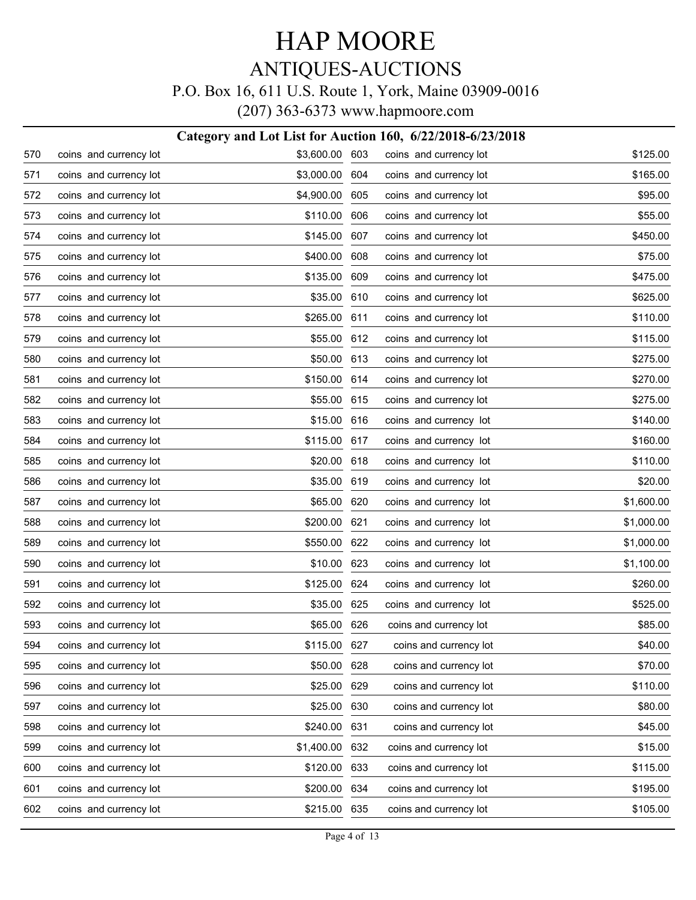### HAP MOORE ANTIQUES-AUCTIONS P.O. Box 16, 611 U.S. Route 1, York, Maine 03909-0016

(207) 363-6373 www.hapmoore.com

#### **Category and Lot List for Auction 160, 6/22/2018-6/23/2018** 570 coins and currency lot \$3,600.00 571 coins and currency lot \$3,000.00 572 coins and currency lot \$4,900.00 573 coins and currency lot 573 5110.00 574 coins and currency lot \$145.00 575 coins and currency lot \$400.00 576 coins and currency lot **\$135.00** 577 coins and currency lot \$35.00 578 coins and currency lot **\$265.00** 579 coins and currency lot \$55.00 580 coins and currency lot \$50.00 581 coins and currency lot 581 coins 3150.00 582 coins and currency lot \$55.00 583 coins and currency lot 583 coins and currency lot 584 coins and currency lot \$115.00 585 coins and currency lot **\$20.00** 586 coins and currency lot \$35.00 587 coins and currency lot 567 coins and currency lot 588 coins and currency lot 588 5200.00 589 coins and currency lot **\$550.00** 590 coins and currency lot \$10.00 591 coins and currency lot 591 coins and currency lot 592 coins and currency lot **\$35.00** 593 coins and currency lot **\$65.00** 594 coins and currency lot **\$115.00** 595 coins and currency lot 595 coins and currency lot 596 coins and currency lot \$25.00 597 coins and currency lot \$25.00 598 coins and currency lot **\$240.00** 599 coins and currency lot \$1,400.00 600 coins and currency lot \$120.00 601 coins and currency lot \$200.00 602 coins and currency lot \$215.00 603 coins and currency lot \$125.00 604 coins and currency lot \$165.00 605 coins and currency lot 605 coins 395.00 606 coins and currency lot 606 s55.00 607 coins and currency lot \$450.00 608 coins and currency lot \$75.00 609 coins and currency lot 609 coins 3475.00 610 coins and currency lot 610 coins 3625.00 611 coins and currency lot 611 6110.00 612 coins and currency lot \$115.00 613 coins and currency lot 613 6275.00 614 coins and currency lot 614 S270.00 615 coins and currency lot \$275.00 616 coins and currency lot 616 coins 3140.00 617 coins and currency lot 617 \$160.00 618 coins and currency lot 618 metal \$110.00 619 coins and currency lot \$20.00 620 coins and currency lot \$1,600.00 621 coins and currency lot \$1,000.00 622 coins and currency lot \$1,000.00 623 coins and currency lot \$1,100.00 624 coins and currency lot \$260.00 625 coins and currency lot **\$525.00** 626 coins and currency lot \$85.00 627 coins and currency lot 627 540.00 628 coins and currency lot \$70.00 629 coins and currency lot \$110.00 630 coins and currency lot \$80.00 631 coins and currency lot 631 545.00 632 coins and currency lot \$15.00 633 coins and currency lot 633 6115.00 634 coins and currency lot \$195.00 635 coins and currency lot \$105.00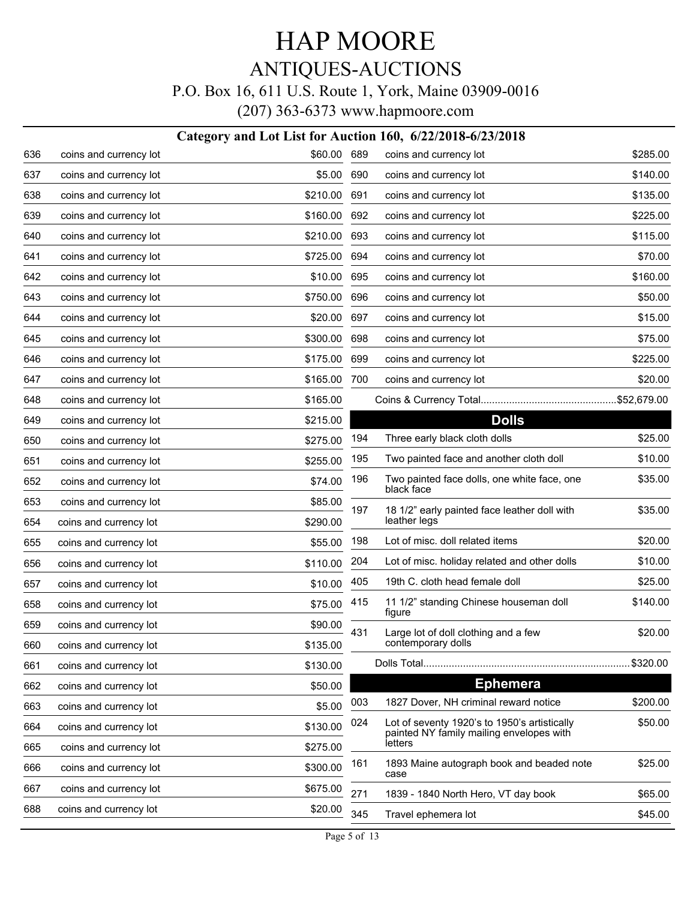# HAP MOORE ANTIQUES-AUCTIONS

### P.O. Box 16, 611 U.S. Route 1, York, Maine 03909-0016

(207) 363-6373 www.hapmoore.com

#### **Category and Lot List for Auction 160, 6/22/2018-6/23/2018**

| 636 | coins and currency lot | \$60.00  | 689 | coins and currency lot                                                                   | \$285.00 |
|-----|------------------------|----------|-----|------------------------------------------------------------------------------------------|----------|
| 637 | coins and currency lot | \$5.00   | 690 | coins and currency lot                                                                   | \$140.00 |
| 638 | coins and currency lot | \$210.00 | 691 | coins and currency lot                                                                   | \$135.00 |
| 639 | coins and currency lot | \$160.00 | 692 | coins and currency lot                                                                   | \$225.00 |
| 640 | coins and currency lot | \$210.00 | 693 | coins and currency lot                                                                   | \$115.00 |
| 641 | coins and currency lot | \$725.00 | 694 | coins and currency lot                                                                   | \$70.00  |
| 642 | coins and currency lot | \$10.00  | 695 | coins and currency lot                                                                   | \$160.00 |
| 643 | coins and currency lot | \$750.00 | 696 | coins and currency lot                                                                   | \$50.00  |
| 644 | coins and currency lot | \$20.00  | 697 | coins and currency lot                                                                   | \$15.00  |
| 645 | coins and currency lot | \$300.00 | 698 | coins and currency lot                                                                   | \$75.00  |
| 646 | coins and currency lot | \$175.00 | 699 | coins and currency lot                                                                   | \$225.00 |
| 647 | coins and currency lot | \$165.00 | 700 | coins and currency lot                                                                   | \$20.00  |
| 648 | coins and currency lot | \$165.00 |     |                                                                                          |          |
| 649 | coins and currency lot | \$215.00 |     | <b>Dolls</b>                                                                             |          |
| 650 | coins and currency lot | \$275.00 | 194 | Three early black cloth dolls                                                            | \$25.00  |
| 651 | coins and currency lot | \$255.00 | 195 | Two painted face and another cloth doll                                                  | \$10.00  |
| 652 | coins and currency lot | \$74.00  | 196 | Two painted face dolls, one white face, one<br>black face                                | \$35.00  |
| 653 | coins and currency lot | \$85.00  | 197 | 18 1/2" early painted face leather doll with                                             | \$35.00  |
| 654 | coins and currency lot | \$290.00 |     | leather legs                                                                             |          |
| 655 | coins and currency lot | \$55.00  | 198 | Lot of misc. doll related items                                                          | \$20.00  |
| 656 | coins and currency lot | \$110.00 | 204 | Lot of misc. holiday related and other dolls                                             | \$10.00  |
| 657 | coins and currency lot | \$10.00  | 405 | 19th C. cloth head female doll                                                           | \$25.00  |
| 658 | coins and currency lot | \$75.00  | 415 | 11 1/2" standing Chinese houseman doll<br>figure                                         | \$140.00 |
| 659 | coins and currency lot | \$90.00  | 431 | Large lot of doll clothing and a few                                                     | \$20.00  |
| 660 | coins and currency lot | \$135.00 |     | contemporary dolls                                                                       |          |
| 661 | coins and currency lot | \$130.00 |     |                                                                                          | \$320.00 |
| 662 | coins and currency lot | \$50.00  |     | <b>Ephemera</b>                                                                          |          |
| 663 | coins and currency lot | \$5.00   | 003 | 1827 Dover, NH criminal reward notice                                                    | \$200.00 |
| 664 | coins and currency lot | \$130.00 | 024 | Lot of seventy 1920's to 1950's artistically<br>painted NY family mailing envelopes with | \$50.00  |
| 665 | coins and currency lot | \$275.00 |     | letters                                                                                  |          |
| 666 | coins and currency lot | \$300.00 | 161 | 1893 Maine autograph book and beaded note<br>case                                        | \$25.00  |
| 667 | coins and currency lot | \$675.00 | 271 | 1839 - 1840 North Hero, VT day book                                                      | \$65.00  |
| 688 | coins and currency lot | \$20.00  | 345 | Travel ephemera lot                                                                      | \$45.00  |
|     |                        |          |     |                                                                                          |          |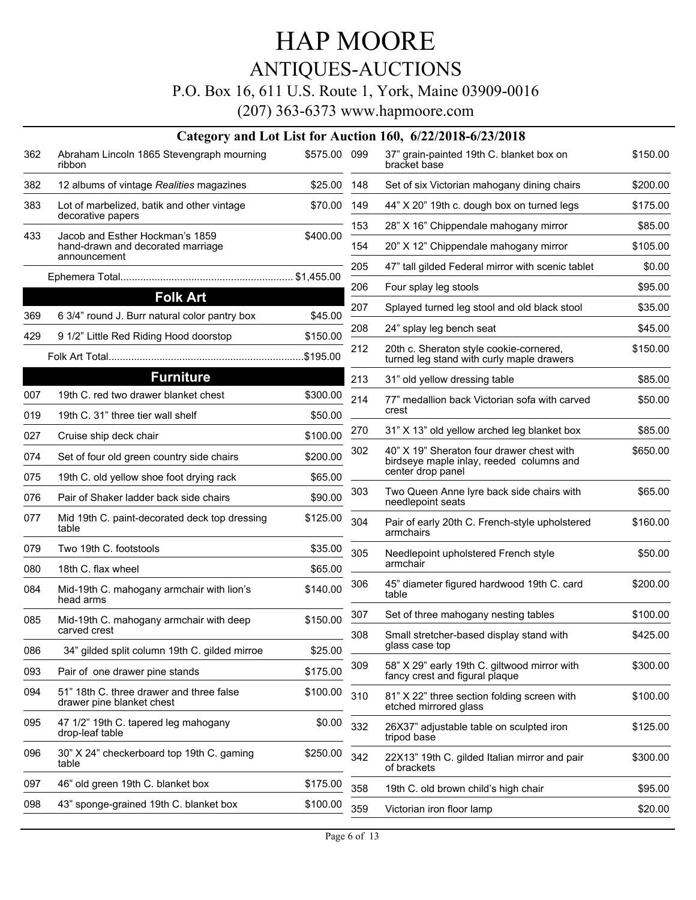### ANTIQUES-AUCTIONS

#### P.O. Box 16, 611 U.S. Route 1, York, Maine 03909-0016

|     |                                                                                      |              |     | Category and Lot List for Auction 160, 6/22/2018-6/23/2018                            |          |
|-----|--------------------------------------------------------------------------------------|--------------|-----|---------------------------------------------------------------------------------------|----------|
| 362 | Abraham Lincoln 1865 Stevengraph mourning<br>ribbon                                  | \$575.00 099 |     | 37" grain-painted 19th C. blanket box on<br>bracket base                              | \$150.00 |
| 382 | 12 albums of vintage Realities magazines                                             | \$25.00      | 148 | Set of six Victorian mahogany dining chairs                                           | \$200.00 |
| 383 | Lot of marbelized, batik and other vintage                                           | \$70.00      | 149 | 44" X 20" 19th c. dough box on turned legs                                            | \$175.00 |
|     | decorative papers                                                                    |              | 153 | 28" X 16" Chippendale mahogany mirror                                                 | \$85.00  |
| 433 | Jacob and Esther Hockman's 1859<br>hand-drawn and decorated marriage<br>announcement | \$400.00     | 154 | 20" X 12" Chippendale mahogany mirror                                                 | \$105.00 |
|     |                                                                                      |              | 205 | 47" tall gilded Federal mirror with scenic tablet                                     | \$0.00   |
|     |                                                                                      |              | 206 | Four splay leg stools                                                                 | \$95.00  |
|     | <b>Folk Art</b>                                                                      |              | 207 | Splayed turned leg stool and old black stool                                          | \$35.00  |
| 369 | 6 3/4" round J. Burr natural color pantry box                                        | \$45.00      | 208 | 24" splay leg bench seat                                                              | \$45.00  |
| 429 | 9 1/2" Little Red Riding Hood doorstop                                               | \$150.00     | 212 | 20th c. Sheraton style cookie-cornered,                                               | \$150.00 |
|     |                                                                                      | \$195.00     |     | turned leg stand with curly maple drawers                                             |          |
|     | <b>Furniture</b>                                                                     |              | 213 | 31" old yellow dressing table                                                         | \$85.00  |
| 007 | 19th C. red two drawer blanket chest                                                 | \$300.00     | 214 | 77" medallion back Victorian sofa with carved                                         | \$50.00  |
| 019 | 19th C. 31" three tier wall shelf                                                    | \$50.00      |     | crest                                                                                 |          |
| 027 | Cruise ship deck chair                                                               | \$100.00     | 270 | 31" X 13" old yellow arched leg blanket box                                           | \$85.00  |
| 074 | Set of four old green country side chairs                                            | \$200.00     | 302 | 40" X 19" Sheraton four drawer chest with<br>birdseye maple inlay, reeded columns and | \$650.00 |
| 075 | 19th C. old yellow shoe foot drying rack                                             | \$65.00      |     | center drop panel                                                                     |          |
| 076 | Pair of Shaker ladder back side chairs                                               | \$90.00      | 303 | Two Queen Anne lyre back side chairs with<br>needlepoint seats                        | \$65.00  |
| 077 | Mid 19th C. paint-decorated deck top dressing<br>table                               | \$125.00     | 304 | Pair of early 20th C. French-style upholstered<br>armchairs                           | \$160.00 |
| 079 | Two 19th C. footstools                                                               | \$35.00      | 305 | Needlepoint upholstered French style                                                  | \$50.00  |
| 080 | 18th C. flax wheel                                                                   | \$65.00      |     | armchair                                                                              |          |
| 084 | Mid-19th C. mahogany armchair with lion's<br>head arms                               | \$140.00     | 306 | 45" diameter figured hardwood 19th C. card<br>table                                   | \$200.00 |
| 085 | Mid-19th C. mahogany armchair with deep                                              | \$150.00     | 307 | Set of three mahogany nesting tables                                                  | \$100.00 |
|     | carved crest                                                                         |              | 308 | Small stretcher-based display stand with<br>glass case top                            | \$425.00 |
| 086 | 34" gilded split column 19th C. gilded mirroe                                        | \$25.00      |     |                                                                                       |          |
| 093 | Pair of one drawer pine stands                                                       | \$175.00     | 309 | 58" X 29" early 19th C. giltwood mirror with<br>fancy crest and figural plaque        | \$300.00 |
| 094 | 51" 18th C. three drawer and three false<br>drawer pine blanket chest                | \$100.00     | 310 | 81" X 22" three section folding screen with<br>etched mirrored glass                  | \$100.00 |
| 095 | 47 1/2" 19th C. tapered leg mahogany<br>drop-leaf table                              | \$0.00       | 332 | 26X37" adjustable table on sculpted iron<br>tripod base                               | \$125.00 |
| 096 | 30" X 24" checkerboard top 19th C. gaming<br>table                                   | \$250.00     | 342 | 22X13" 19th C. gilded Italian mirror and pair<br>of brackets                          | \$300.00 |
| 097 | 46" old green 19th C. blanket box                                                    | \$175.00     | 358 | 19th C. old brown child's high chair                                                  | \$95.00  |
| 098 | 43" sponge-grained 19th C. blanket box                                               | \$100.00     | 359 | Victorian iron floor lamp                                                             | \$20.00  |
|     |                                                                                      |              |     |                                                                                       |          |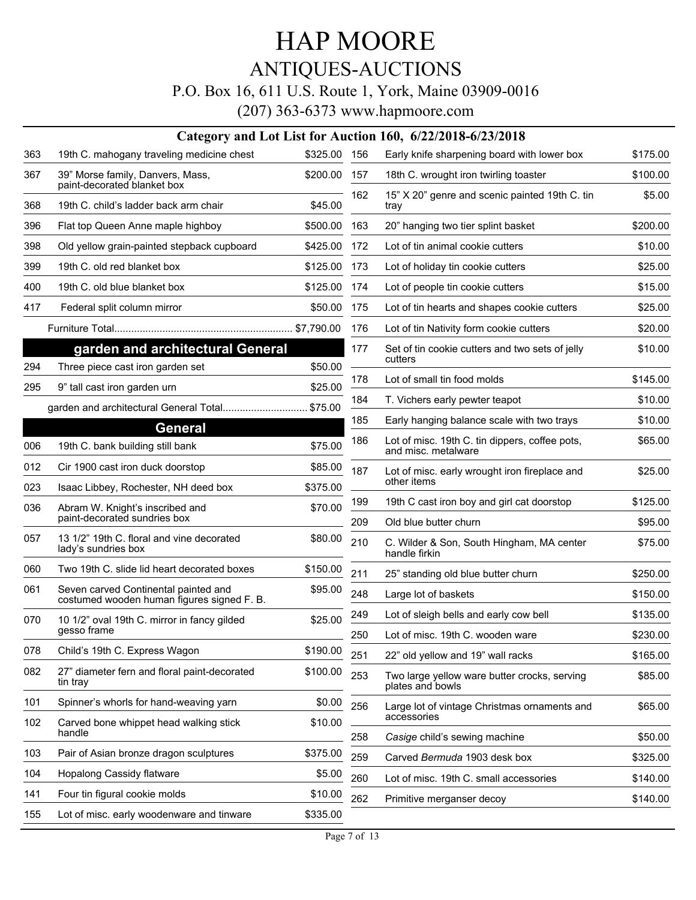### ANTIQUES-AUCTIONS

#### P.O. Box 16, 611 U.S. Route 1, York, Maine 03909-0016

|     | Category and Lot List for Auction 160, 6/22/2018-6/23/2018                         |          |     |                                                                       |          |  |  |  |
|-----|------------------------------------------------------------------------------------|----------|-----|-----------------------------------------------------------------------|----------|--|--|--|
| 363 | 19th C. mahogany traveling medicine chest                                          | \$325.00 | 156 | Early knife sharpening board with lower box                           | \$175.00 |  |  |  |
| 367 | 39" Morse family, Danvers, Mass,<br>paint-decorated blanket box                    | \$200.00 | 157 | 18th C. wrought iron twirling toaster                                 | \$100.00 |  |  |  |
| 368 | 19th C. child's ladder back arm chair                                              | \$45.00  | 162 | 15" X 20" genre and scenic painted 19th C. tin<br>tray                | \$5.00   |  |  |  |
| 396 | Flat top Queen Anne maple highboy                                                  | \$500.00 | 163 | 20" hanging two tier splint basket                                    | \$200.00 |  |  |  |
| 398 | Old yellow grain-painted stepback cupboard                                         | \$425.00 | 172 | Lot of tin animal cookie cutters                                      | \$10.00  |  |  |  |
| 399 | 19th C. old red blanket box                                                        | \$125.00 | 173 | Lot of holiday tin cookie cutters                                     | \$25.00  |  |  |  |
| 400 | 19th C. old blue blanket box                                                       | \$125.00 | 174 | Lot of people tin cookie cutters                                      | \$15.00  |  |  |  |
| 417 | Federal split column mirror                                                        | \$50.00  | 175 | Lot of tin hearts and shapes cookie cutters                           | \$25.00  |  |  |  |
|     |                                                                                    |          | 176 | Lot of tin Nativity form cookie cutters                               | \$20.00  |  |  |  |
|     | garden and architectural General                                                   |          | 177 | Set of tin cookie cutters and two sets of jelly<br>cutters            | \$10.00  |  |  |  |
| 294 | Three piece cast iron garden set                                                   | \$50.00  | 178 | Lot of small tin food molds                                           | \$145.00 |  |  |  |
| 295 | 9" tall cast iron garden urn                                                       | \$25.00  | 184 | T. Vichers early pewter teapot                                        | \$10.00  |  |  |  |
|     | garden and architectural General Total                                             | \$75.00  | 185 | Early hanging balance scale with two trays                            | \$10.00  |  |  |  |
|     | <b>General</b>                                                                     |          | 186 |                                                                       |          |  |  |  |
| 006 | 19th C. bank building still bank                                                   | \$75.00  |     | Lot of misc. 19th C. tin dippers, coffee pots,<br>and misc. metalware | \$65.00  |  |  |  |
| 012 | Cir 1900 cast iron duck doorstop                                                   | \$85.00  | 187 | Lot of misc. early wrought iron fireplace and                         | \$25.00  |  |  |  |
| 023 | Isaac Libbey, Rochester, NH deed box                                               | \$375.00 |     | other items                                                           |          |  |  |  |
| 036 | Abram W. Knight's inscribed and<br>paint-decorated sundries box                    | \$70.00  | 199 | 19th C cast iron boy and girl cat doorstop                            | \$125.00 |  |  |  |
| 057 | 13 1/2" 19th C. floral and vine decorated                                          | \$80.00  | 209 | Old blue butter churn                                                 | \$95.00  |  |  |  |
|     | lady's sundries box                                                                |          | 210 | C. Wilder & Son, South Hingham, MA center<br>handle firkin            | \$75.00  |  |  |  |
| 060 | Two 19th C. slide lid heart decorated boxes                                        | \$150.00 | 211 | 25" standing old blue butter churn                                    | \$250.00 |  |  |  |
| 061 | Seven carved Continental painted and<br>costumed wooden human figures signed F. B. | \$95.00  | 248 | Large lot of baskets                                                  | \$150.00 |  |  |  |
| 070 | 10 1/2" oval 19th C. mirror in fancy gilded                                        | \$25.00  | 249 | Lot of sleigh bells and early cow bell                                | \$135.00 |  |  |  |
|     | gesso frame                                                                        |          | 250 | Lot of misc. 19th C. wooden ware                                      | \$230.00 |  |  |  |
| 078 | Child's 19th C. Express Wagon                                                      | \$190.00 | 251 | 22" old yellow and 19" wall racks                                     | \$165.00 |  |  |  |
| 082 | 27" diameter fern and floral paint-decorated<br>tin tray                           | \$100.00 | 253 | Two large yellow ware butter crocks, serving<br>plates and bowls      | \$85.00  |  |  |  |
| 101 | Spinner's whorls for hand-weaving yarn                                             | \$0.00   | 256 | Large lot of vintage Christmas ornaments and                          | \$65.00  |  |  |  |
| 102 | Carved bone whippet head walking stick<br>handle                                   | \$10.00  | 258 | accessories<br>Casige child's sewing machine                          | \$50.00  |  |  |  |
| 103 | Pair of Asian bronze dragon sculptures                                             | \$375.00 | 259 | Carved Bermuda 1903 desk box                                          | \$325.00 |  |  |  |
| 104 | Hopalong Cassidy flatware                                                          | \$5.00   | 260 | Lot of misc. 19th C. small accessories                                | \$140.00 |  |  |  |
| 141 | Four tin figural cookie molds                                                      | \$10.00  | 262 | Primitive merganser decoy                                             | \$140.00 |  |  |  |
| 155 | Lot of misc. early woodenware and tinware                                          | \$335.00 |     |                                                                       |          |  |  |  |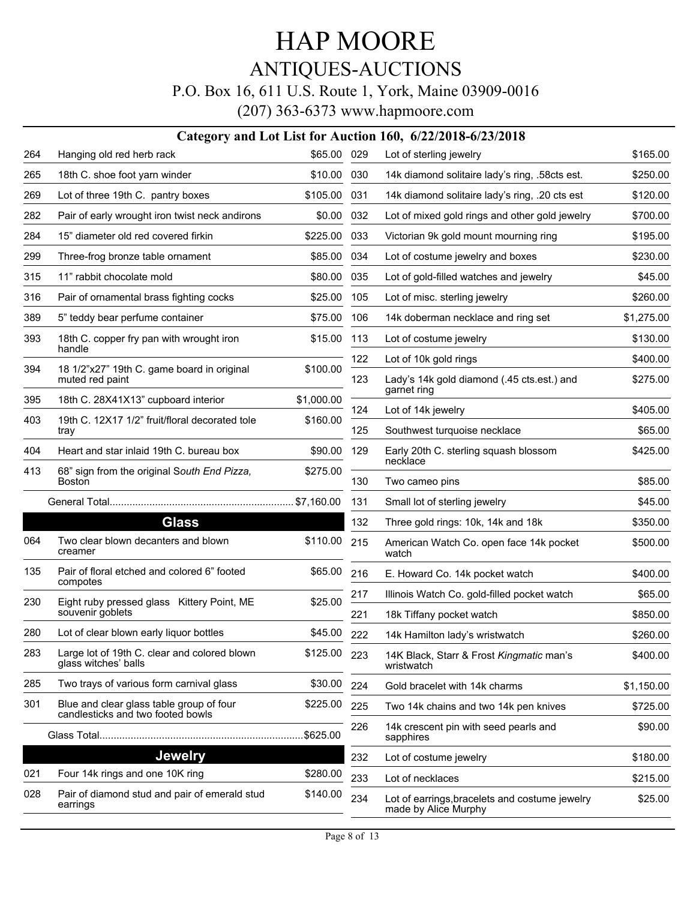## ANTIQUES-AUCTIONS

#### P.O. Box 16, 611 U.S. Route 1, York, Maine 03909-0016

|     | Category and Lot List for Auction 160, 6/22/2018-6/23/2018                    |              |     |                                                                        |            |  |  |  |
|-----|-------------------------------------------------------------------------------|--------------|-----|------------------------------------------------------------------------|------------|--|--|--|
| 264 | Hanging old red herb rack                                                     | \$65.00 029  |     | Lot of sterling jewelry                                                | \$165.00   |  |  |  |
| 265 | 18th C. shoe foot yarn winder                                                 | \$10.00      | 030 | 14k diamond solitaire lady's ring, .58cts est.                         | \$250.00   |  |  |  |
| 269 | Lot of three 19th C. pantry boxes                                             | \$105.00     | 031 | 14k diamond solitaire lady's ring, .20 cts est                         | \$120.00   |  |  |  |
| 282 | Pair of early wrought iron twist neck andirons                                | \$0.00       | 032 | Lot of mixed gold rings and other gold jewelry                         | \$700.00   |  |  |  |
| 284 | 15" diameter old red covered firkin                                           | \$225.00     | 033 | Victorian 9k gold mount mourning ring                                  | \$195.00   |  |  |  |
| 299 | Three-frog bronze table ornament                                              | \$85.00      | 034 | Lot of costume jewelry and boxes                                       | \$230.00   |  |  |  |
| 315 | 11" rabbit chocolate mold                                                     | \$80.00      | 035 | Lot of gold-filled watches and jewelry                                 | \$45.00    |  |  |  |
| 316 | Pair of ornamental brass fighting cocks                                       | \$25.00      | 105 | Lot of misc. sterling jewelry                                          | \$260.00   |  |  |  |
| 389 | 5" teddy bear perfume container                                               | \$75.00      | 106 | 14k doberman necklace and ring set                                     | \$1,275.00 |  |  |  |
| 393 | 18th C. copper fry pan with wrought iron                                      | \$15.00      | 113 | Lot of costume jewelry                                                 | \$130.00   |  |  |  |
|     | handle                                                                        |              | 122 | Lot of 10k gold rings                                                  | \$400.00   |  |  |  |
| 394 | 18 1/2"x27" 19th C. game board in original<br>muted red paint                 | \$100.00     | 123 | Lady's 14k gold diamond (.45 cts.est.) and<br>garnet ring              | \$275.00   |  |  |  |
| 395 | 18th C. 28X41X13" cupboard interior                                           | \$1,000.00   | 124 | Lot of 14k jewelry                                                     | \$405.00   |  |  |  |
| 403 | 19th C. 12X17 1/2" fruit/floral decorated tole<br>tray                        | \$160.00     | 125 | Southwest turquoise necklace                                           | \$65.00    |  |  |  |
| 404 | Heart and star inlaid 19th C. bureau box                                      | \$90.00      | 129 | Early 20th C. sterling squash blossom<br>necklace                      | \$425.00   |  |  |  |
| 413 | 68" sign from the original South End Pizza,<br><b>Boston</b>                  | \$275.00     | 130 | Two cameo pins                                                         | \$85.00    |  |  |  |
|     |                                                                               |              | 131 | Small lot of sterling jewelry                                          | \$45.00    |  |  |  |
|     | <b>Glass</b>                                                                  |              | 132 | Three gold rings: 10k, 14k and 18k                                     | \$350.00   |  |  |  |
| 064 | Two clear blown decanters and blown<br>creamer                                | \$110.00     | 215 | American Watch Co. open face 14k pocket<br>watch                       | \$500.00   |  |  |  |
| 135 | Pair of floral etched and colored 6" footed<br>compotes                       | \$65.00      | 216 | E. Howard Co. 14k pocket watch                                         | \$400.00   |  |  |  |
| 230 | Eight ruby pressed glass Kittery Point, ME                                    | \$25.00      | 217 | Illinois Watch Co. gold-filled pocket watch                            | \$65.00    |  |  |  |
|     | souvenir goblets                                                              |              | 221 | 18k Tiffany pocket watch                                               | \$850.00   |  |  |  |
| 280 | Lot of clear blown early liquor bottles                                       | \$45.00      | 222 | 14k Hamilton lady's wristwatch                                         | \$260.00   |  |  |  |
| 283 | Large lot of 19th C. clear and colored blown<br>glass witches' balls          | \$125.00 223 |     | 14K Black, Starr & Frost Kingmatic man's<br>wristwatch                 | \$400.00   |  |  |  |
| 285 | Two trays of various form carnival glass                                      | \$30.00      | 224 | Gold bracelet with 14k charms                                          | \$1,150.00 |  |  |  |
| 301 | Blue and clear glass table group of four<br>candlesticks and two footed bowls | \$225.00     | 225 | Two 14k chains and two 14k pen knives                                  | \$725.00   |  |  |  |
|     |                                                                               |              | 226 | 14k crescent pin with seed pearls and<br>sapphires                     | \$90.00    |  |  |  |
|     | Jewelry                                                                       |              | 232 | Lot of costume jewelry                                                 | \$180.00   |  |  |  |
| 021 | Four 14k rings and one 10K ring                                               | \$280.00     | 233 | Lot of necklaces                                                       | \$215.00   |  |  |  |
| 028 | Pair of diamond stud and pair of emerald stud<br>earrings                     | \$140.00     | 234 | Lot of earrings, bracelets and costume jewelry<br>made by Alice Murphy | \$25.00    |  |  |  |
|     |                                                                               |              |     |                                                                        |            |  |  |  |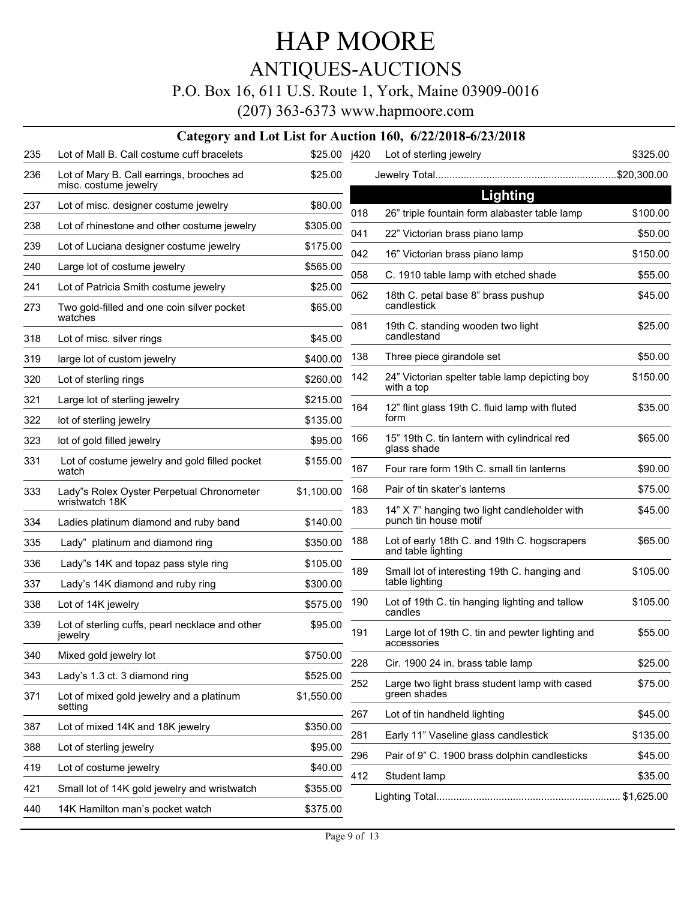## ANTIQUES-AUCTIONS

#### P.O. Box 16, 611 U.S. Route 1, York, Maine 03909-0016

|            |                                                                          |                      |     | Category and Lot List for Auction 160, 6/22/2018-6/23/2018                 |          |
|------------|--------------------------------------------------------------------------|----------------------|-----|----------------------------------------------------------------------------|----------|
| 235        | Lot of Mall B. Call costume cuff bracelets                               | \$25.00 j420         |     | Lot of sterling jewelry                                                    | \$325.00 |
| 236        | Lot of Mary B. Call earrings, brooches ad<br>misc. costume jewelry       | \$25.00              |     |                                                                            |          |
| 237        | Lot of misc. designer costume jewelry                                    | \$80.00              |     | <b>Lighting</b>                                                            |          |
| 238        | Lot of rhinestone and other costume jewelry                              | \$305.00             | 018 | 26" triple fountain form alabaster table lamp                              | \$100.00 |
| 239        | Lot of Luciana designer costume jewelry                                  | \$175.00             | 041 | 22" Victorian brass piano lamp                                             | \$50.00  |
| 240        | Large lot of costume jewelry                                             | \$565.00             | 042 | 16" Victorian brass piano lamp                                             | \$150.00 |
| 241        | Lot of Patricia Smith costume jewelry                                    | \$25.00              | 058 | C. 1910 table lamp with etched shade                                       | \$55.00  |
| 273        | Two gold-filled and one coin silver pocket<br>watches                    | \$65.00              | 062 | 18th C. petal base 8" brass pushup<br>candlestick                          | \$45.00  |
| 318        | Lot of misc. silver rings                                                | \$45.00              | 081 | 19th C. standing wooden two light<br>candlestand                           | \$25.00  |
| 319        | large lot of custom jewelry                                              | \$400.00             | 138 | Three piece girandole set                                                  | \$50.00  |
| 320        | Lot of sterling rings                                                    | \$260.00             | 142 | 24" Victorian spelter table lamp depicting boy<br>with a top               | \$150.00 |
| 321        | Large lot of sterling jewelry                                            | \$215.00             | 164 | 12" flint glass 19th C. fluid lamp with fluted                             | \$35.00  |
| 322        | lot of sterling jewelry                                                  | \$135.00             |     | form                                                                       |          |
| 323        | lot of gold filled jewelry                                               | \$95.00              | 166 | 15" 19th C. tin lantern with cylindrical red<br>glass shade                | \$65.00  |
| 331        | Lot of costume jewelry and gold filled pocket<br>watch                   | \$155.00             | 167 | Four rare form 19th C. small tin lanterns                                  | \$90.00  |
| 333        | Lady"s Rolex Oyster Perpetual Chronometer                                | \$1,100.00           | 168 | Pair of tin skater's lanterns                                              | \$75.00  |
| 334        | wristwatch 18K<br>Ladies platinum diamond and ruby band                  | \$140.00             | 183 | 14" X 7" hanging two light candleholder with<br>punch tin house motif      | \$45.00  |
| 335        | Lady" platinum and diamond ring                                          | \$350.00             | 188 | Lot of early 18th C. and 19th C. hogscrapers                               | \$65.00  |
|            |                                                                          |                      |     | and table lighting                                                         |          |
| 336<br>337 | Lady"s 14K and topaz pass style ring<br>Lady's 14K diamond and ruby ring | \$105.00<br>\$300.00 | 189 | Small lot of interesting 19th C. hanging and<br>table lighting             | \$105.00 |
| 338        | Lot of 14K jewelry                                                       | \$575.00             | 190 | Lot of 19th C. tin hanging lighting and tallow                             | \$105.00 |
| 339        | Lot of sterling cuffs, pearl necklace and other<br>jewelry               | \$95.00              | 191 | candles<br>Large lot of 19th C. tin and pewter lighting and<br>accessories | \$55.00  |
| 340        | Mixed gold jewelry lot                                                   | \$750.00             | 228 | Cir. 1900 24 in. brass table lamp                                          | \$25.00  |
| 343        | Lady's 1.3 ct. 3 diamond ring                                            | \$525.00             | 252 | Large two light brass student lamp with cased                              | \$75.00  |
| 371        | Lot of mixed gold jewelry and a platinum<br>setting                      | \$1,550.00           |     | green shades                                                               |          |
| 387        | Lot of mixed 14K and 18K jewelry                                         | \$350.00             | 267 | Lot of tin handheld lighting                                               | \$45.00  |
| 388        | Lot of sterling jewelry                                                  | \$95.00              | 281 | Early 11" Vaseline glass candlestick                                       | \$135.00 |
| 419        | Lot of costume jewelry                                                   | \$40.00              | 296 | Pair of 9" C. 1900 brass dolphin candlesticks                              | \$45.00  |
| 421        | Small lot of 14K gold jewelry and wristwatch                             | \$355.00             | 412 | Student lamp                                                               | \$35.00  |
| 440        | 14K Hamilton man's pocket watch                                          | \$375.00             |     |                                                                            |          |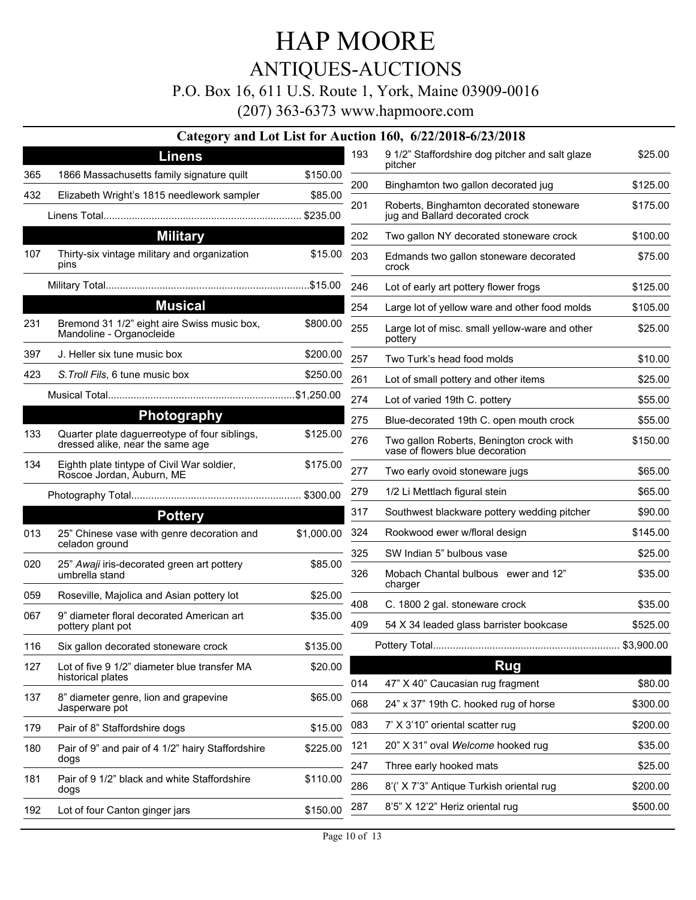### ANTIQUES-AUCTIONS

#### P.O. Box 16, 611 U.S. Route 1, York, Maine 03909-0016

(207) 363-6373 www.hapmoore.com

#### **Category and Lot List for Auction 160, 6/22/2018-6/23/2018 Linens** 365 1866 Massachusetts family signature quilt \$150.00 432 Elizabeth Wright's 1815 needlework sampler \$85.00 Linens Total...................................................................... \$235.00 **Military** Thirty-six vintage military and organization 107 \$15.00 pins Military Total........................................................................\$15.00 **Musical** 231 Bremond 31 1/2" eight aire Swiss music box,  $$800.00$ Mandoline - Organocleide 397 J. Heller six tune music box \$200.00 423 *S.Troll Fils*, 6 tune music box \$250.00 Musical Total..................................................................\$1,250.00 **Photography** Quarter plate daguerreotype of four siblings, 133 \$125.00 dressed alike, near the same age Eighth plate tintype of Civil War soldier, 134 \$175.00 Roscoe Jordan, Auburn, ME Photography Total............................................................ \$300.00 **Pottery** 013 25" Chinese vase with genre decoration and  $$1,000.00$ celadon ground 25" *Awaji* iris-decorated green art pottery 020 \$85.00 umbrella stand 059 Roseville, Majolica and Asian pottery lot \$25.00 067 9" diameter floral decorated American art **535.00** pottery plant pot 116 Six gallon decorated stoneware crock \$135.00 127 Lot of five 9 1/2" diameter blue transfer MA  $$20.00$ historical plates 137 8" diameter genre, lion and grapevine Theorem S65.00 Jasperware pot 179 Pair of 8" Staffordshire dogs \$15.00 Pair of 9" and pair of 4 1/2" hairy Staffordshire 180 \$225.00 dogs 181 Pair of 9 1/2" black and white Staffordshire \$110.00 dogs 192 Lot of four Canton ginger jars \$150.00 9 1/2" Staffordshire dog pitcher and salt glaze 193 \$25.00 pitcher 200 Binghamton two gallon decorated jug **\$125.00** Roberts, Binghamton decorated stoneware 201 \$175.00 jug and Ballard decorated crock 202 Two gallon NY decorated stoneware crock \$100.00 Edmands two gallon stoneware decorated 203 \$75.00 crock 246 Lot of early art pottery flower frogs \$125.00 254 Large lot of yellow ware and other food molds \$105.00 Large lot of misc. small yellow-ware and other 255 \$25.00 pottery 257 Two Turk's head food molds \$10.00 261 Lot of small pottery and other items \$25.00 274 Lot of varied 19th C. pottery **\$55.00** 275 Blue-decorated 19th C. open mouth crock \$55.00 276 Two gallon Roberts, Benington crock with  $$150.00$ vase of flowers blue decoration 277 Two early ovoid stoneware jugs **\$65.00** 279 1/2 Li Mettlach figural stein **\$65.00** 317 Southwest blackware pottery wedding pitcher \$90.00 324 Rookwood ewer w/floral design \$145.00 325 SW Indian 5" bulbous vase \$25.00 Mobach Chantal bulbous ewer and 12" 326 \$35.00 charger 408 C. 1800 2 gal. stoneware crock \$35.00 409 54 X 34 leaded glass barrister bookcase \$525.00 Pottery Total.................................................................. \$3,900.00 **Rug** 014 47" X 40" Caucasian rug fragment \$80.00 068 24" x 37" 19th C. hooked rug of horse \$300.00 083 7' X 3'10" oriental scatter rug \$200.00 121 20" X 31" oval *Welcome* hooked rug \$35.00 247 Three early hooked mats \$25.00 286 8'(' X 7'3" Antique Turkish oriental rug \$200.00 287 8'5" X 12'2" Heriz oriental rug \$500.00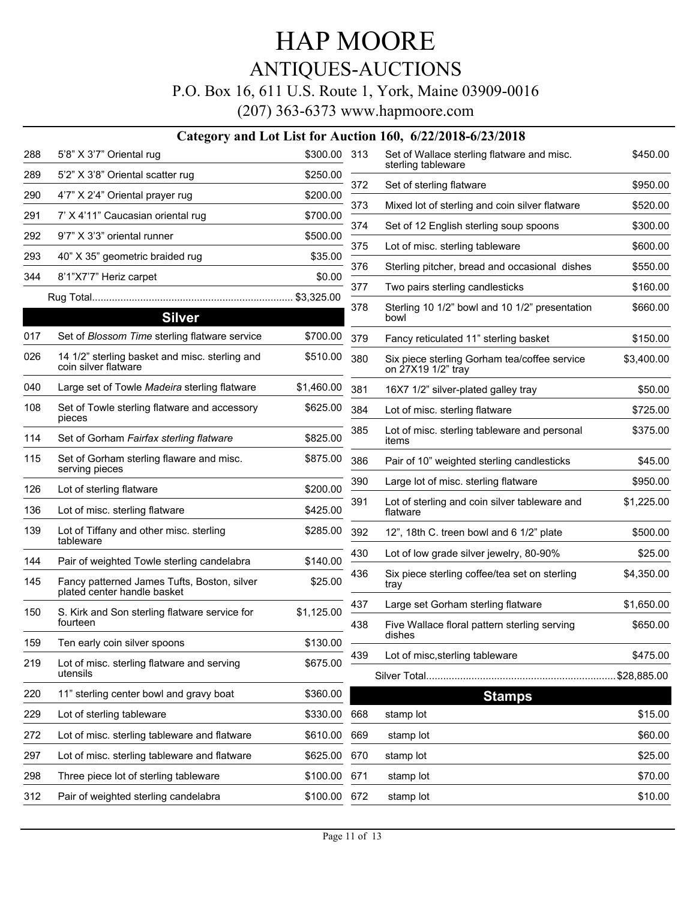### ANTIQUES-AUCTIONS

#### P.O. Box 16, 611 U.S. Route 1, York, Maine 03909-0016

|     |                                                                            |              |     | Category and Lot List for Auction 160, 6/22/2018-6/23/2018         |                         |
|-----|----------------------------------------------------------------------------|--------------|-----|--------------------------------------------------------------------|-------------------------|
| 288 | 5'8" X 3'7" Oriental rug                                                   | \$300.00 313 |     | Set of Wallace sterling flatware and misc.                         | \$450.00                |
| 289 | 5'2" X 3'8" Oriental scatter rug                                           | \$250.00     |     | sterling tableware                                                 |                         |
| 290 | 4'7" X 2'4" Oriental prayer rug                                            | \$200.00     | 372 | Set of sterling flatware                                           | \$950.00                |
| 291 | 7' X 4'11" Caucasian oriental rug                                          | \$700.00     | 373 | Mixed lot of sterling and coin silver flatware                     | \$520.00                |
| 292 | 9'7" X 3'3" oriental runner                                                | \$500.00     | 374 | Set of 12 English sterling soup spoons                             | \$300.00                |
| 293 | 40" X 35" geometric braided rug                                            | \$35.00      | 375 | Lot of misc. sterling tableware                                    | \$600.00                |
| 344 | 8'1"X7'7" Heriz carpet                                                     | \$0.00       | 376 | Sterling pitcher, bread and occasional dishes                      | \$550.00                |
|     |                                                                            | \$3,325.00   | 377 | Two pairs sterling candlesticks                                    | \$160.00                |
|     | <b>Silver</b>                                                              |              | 378 | Sterling 10 1/2" bowl and 10 1/2" presentation<br>bowl             | \$660.00                |
| 017 | Set of Blossom Time sterling flatware service                              | \$700.00     | 379 | Fancy reticulated 11" sterling basket                              | \$150.00                |
| 026 | 14 1/2" sterling basket and misc. sterling and<br>coin silver flatware     | \$510.00     | 380 | Six piece sterling Gorham tea/coffee service<br>on 27X19 1/2" tray | \$3,400.00              |
| 040 | Large set of Towle Madeira sterling flatware                               | \$1,460.00   | 381 | 16X7 1/2" silver-plated galley tray                                | \$50.00                 |
| 108 | Set of Towle sterling flatware and accessory<br>pieces                     | \$625.00     | 384 | Lot of misc. sterling flatware                                     | \$725.00                |
| 114 | Set of Gorham Fairfax sterling flatware                                    | \$825.00     | 385 | Lot of misc. sterling tableware and personal<br>items              | \$375.00                |
| 115 | Set of Gorham sterling flaware and misc.<br>serving pieces                 | \$875.00     | 386 | Pair of 10" weighted sterling candlesticks                         | \$45.00                 |
| 126 | Lot of sterling flatware                                                   | \$200.00     | 390 | Large lot of misc. sterling flatware                               | \$950.00                |
| 136 | Lot of misc. sterling flatware                                             | \$425.00     | 391 | Lot of sterling and coin silver tableware and<br>flatware          | \$1,225.00              |
| 139 | Lot of Tiffany and other misc. sterling<br>tableware                       | \$285.00     | 392 | 12", 18th C. treen bowl and 6 1/2" plate                           | \$500.00                |
| 144 | Pair of weighted Towle sterling candelabra                                 | \$140.00     | 430 | Lot of low grade silver jewelry, 80-90%                            | \$25.00                 |
| 145 | Fancy patterned James Tufts, Boston, silver<br>plated center handle basket | \$25.00      | 436 | Six piece sterling coffee/tea set on sterling<br>tray              | \$4,350.00              |
| 150 | S. Kirk and Son sterling flatware service for                              | \$1,125.00   | 437 | Large set Gorham sterling flatware                                 | \$1,650.00              |
|     | fourteen                                                                   |              | 438 | Five Wallace floral pattern sterling serving                       | \$650.00                |
| 159 | Ten early coin silver spoons                                               | \$130.00     |     | dishes                                                             |                         |
| 219 | Lot of misc. sterling flatware and serving<br>utensils                     | \$675.00     | 439 | Lot of misc, sterling tableware                                    | \$475.00<br>\$28,885.00 |
| 220 | 11" sterling center bowl and gravy boat                                    | \$360.00     |     | <b>Stamps</b>                                                      |                         |
| 229 | Lot of sterling tableware                                                  | \$330.00     | 668 | stamp lot                                                          | \$15.00                 |
| 272 | Lot of misc. sterling tableware and flatware                               | \$610.00     | 669 | stamp lot                                                          | \$60.00                 |
| 297 | Lot of misc. sterling tableware and flatware                               | \$625.00     | 670 | stamp lot                                                          | \$25.00                 |
| 298 | Three piece lot of sterling tableware                                      | \$100.00     | 671 | stamp lot                                                          | \$70.00                 |
| 312 | Pair of weighted sterling candelabra                                       | \$100.00 672 |     | stamp lot                                                          | \$10.00                 |